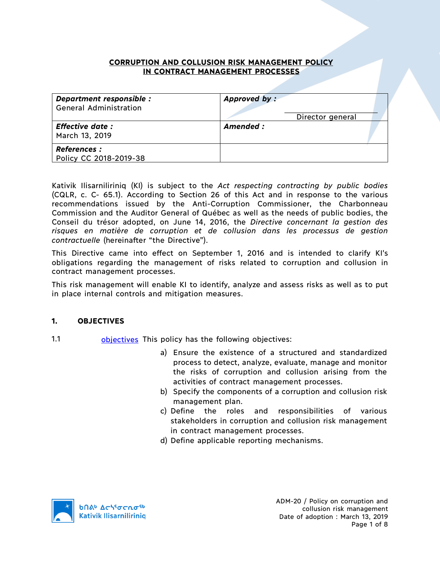## **CORRUPTION AND COLLUSION RISK MANAGEMENT POLICY IN CONTRACT MANAGEMENT PROCESSES**

| Department responsible :<br><b>General Administration</b> | Approved by:<br>Director general |
|-----------------------------------------------------------|----------------------------------|
| <b>Effective date:</b><br>March 13, 2019                  | Amended:                         |
| <b>References :</b><br>Policy CC 2018-2019-38             |                                  |

Kativik Ilisarniliriniq (KI) is subject to the *Act respecting contracting by public bodies*  (CQLR, c. C- 65.1). According to Section 26 of this Act and in response to the various recommendations issued by the Anti-Corruption Commissioner, the Charbonneau Commission and the Auditor General of Québec as well as the needs of public bodies, the Conseil du trésor adopted, on June 14, 2016, the *Directive concernant la gestion des risques en matière de corruption et de collusion dans les processus de gestion contractuelle* (hereinafter "the Directive").

This Directive came into effect on September 1, 2016 and is intended to clarify KI's obligations regarding the management of risks related to corruption and collusion in contract management processes.

This risk management will enable KI to identify, analyze and assess risks as well as to put in place internal controls and mitigation measures.

### **1. OBJECTIVES**

- 1.1 **objectives** This policy has the following objectives:
	- a) Ensure the existence of a structured and standardized process to detect, analyze, evaluate, manage and monitor the risks of corruption and collusion arising from the activities of contract management processes.
	- b) Specify the components of a corruption and collusion risk management plan.
	- c) Define the roles and responsibilities of various stakeholders in corruption and collusion risk management in contract management processes.
	- d) Define applicable reporting mechanisms.

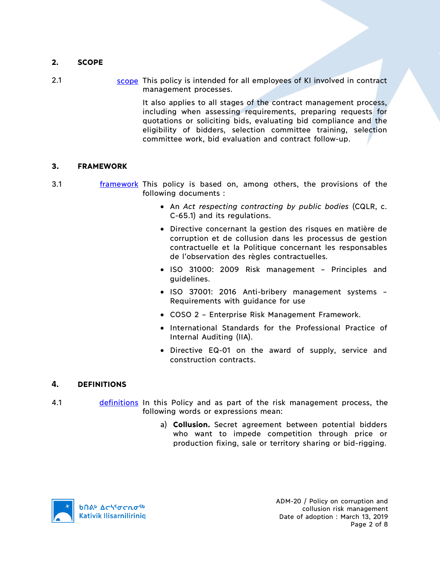# **2. SCOPE**

2.1 scope This policy is intended for all employees of KI involved in contract management processes.

> It also applies to all stages of the contract management process, including when assessing requirements, preparing requests for quotations or soliciting bids, evaluating bid compliance and the eligibility of bidders, selection committee training, selection committee work, bid evaluation and contract follow-up.

## **3. FRAMEWORK**

- 3.1 **framework** This policy is based on, among others, the provisions of the following documents :
	- An *Act respecting contracting by public bodies* (CQLR, c. C-65.1) and its regulations.
	- Directive concernant la gestion des risques en matière de corruption et de collusion dans les processus de gestion contractuelle et la Politique concernant les responsables de l'observation des règles contractuelles.
	- ISO 31000: 2009 Risk management Principles and guidelines.
	- ISO 37001: 2016 Anti-bribery management systems Requirements with guidance for use
	- COSO 2 Enterprise Risk Management Framework.
	- International Standards for the Professional Practice of Internal Auditing (IIA).
	- Directive EQ-01 on the award of supply, service and construction contracts.

### **4. DEFINITIONS**

- 4.1 definitions In this Policy and as part of the risk management process, the following words or expressions mean:
	- a) **Collusion.** Secret agreement between potential bidders who want to impede competition through price or production fixing, sale or territory sharing or bid-rigging.

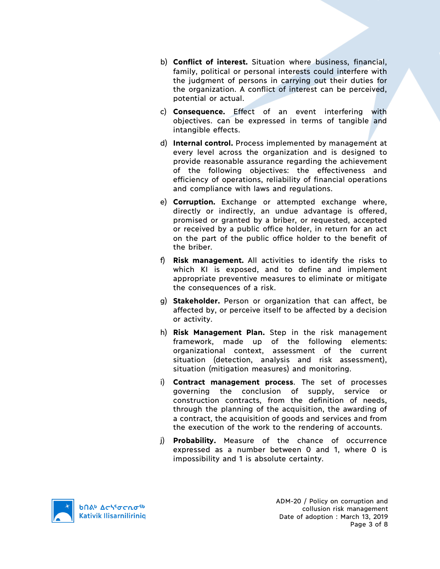- b) **Conflict of interest.** Situation where business, financial, family, political or personal interests could interfere with the judgment of persons in carrying out their duties for the organization. A conflict of interest can be perceived, potential or actual.
- c) **Consequence.** Effect of an event interfering with objectives. can be expressed in terms of tangible and intangible effects.
- d) **Internal control.** Process implemented by management at every level across the organization and is designed to provide reasonable assurance regarding the achievement of the following objectives: the effectiveness and efficiency of operations, reliability of financial operations and compliance with laws and regulations.
- e) **Corruption.** Exchange or attempted exchange where, directly or indirectly, an undue advantage is offered, promised or granted by a briber, or requested, accepted or received by a public office holder, in return for an act on the part of the public office holder to the benefit of the briber.
- f) **Risk management.** All activities to identify the risks to which KI is exposed, and to define and implement appropriate preventive measures to eliminate or mitigate the consequences of a risk.
- g) **Stakeholder.** Person or organization that can affect, be affected by, or perceive itself to be affected by a decision or activity.
- h) **Risk Management Plan.** Step in the risk management framework, made up of the following elements: organizational context, assessment of the current situation (detection, analysis and risk assessment), situation (mitigation measures) and monitoring.
- i) **Contract management process**. The set of processes governing the conclusion of supply, service or construction contracts, from the definition of needs, through the planning of the acquisition, the awarding of a contract, the acquisition of goods and services and from the execution of the work to the rendering of accounts.
- j) **Probability.** Measure of the chance of occurrence expressed as a number between 0 and 1, where 0 is impossibility and 1 is absolute certainty.

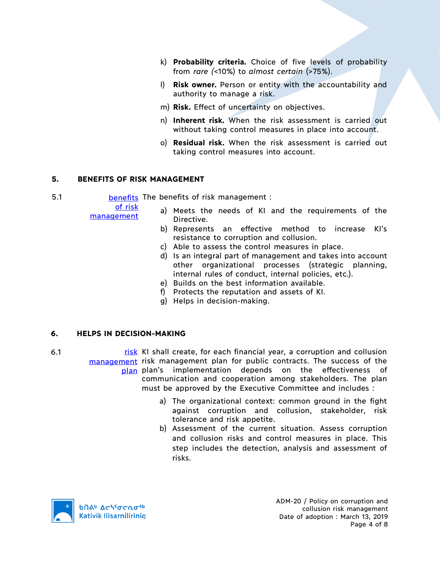- k) **Probability criteria.** Choice of five levels of probability from *rare (*<10%) to *almost certain* (>75%).
- l) **Risk owner.** Person or entity with the accountability and authority to manage a risk.
- m) **Risk.** Effect of uncertainty on objectives.
- n) **Inherent risk.** When the risk assessment is carried out without taking control measures in place into account.
- o) **Residual risk.** When the risk assessment is carried out taking control measures into account.

## **5. BENEFITS OF RISK MANAGEMENT**

5.1 **benefits** The benefits of risk management :

of risk management

- a) Meets the needs of KI and the requirements of the Directive.
- b) Represents an effective method to increase KI's resistance to corruption and collusion.
- c) Able to assess the control measures in place.
- d) Is an integral part of management and takes into account other organizational processes (strategic planning, internal rules of conduct, internal policies, etc.).
- e) Builds on the best information available.
- f) Protects the reputation and assets of KI.
- g) Helps in decision-making.

# **6. HELPS IN DECISION-MAKING**

- 6.1 **risk** KI shall create, for each financial year, a corruption and collusion management risk management plan for public contracts. The success of the plan plan's implementation depends on the effectiveness of communication and cooperation among stakeholders. The plan must be approved by the Executive Committee and includes :
	- a) The organizational context: common ground in the fight against corruption and collusion, stakeholder, risk tolerance and risk appetite.
	- b) Assessment of the current situation. Assess corruption and collusion risks and control measures in place. This step includes the detection, analysis and assessment of risks.

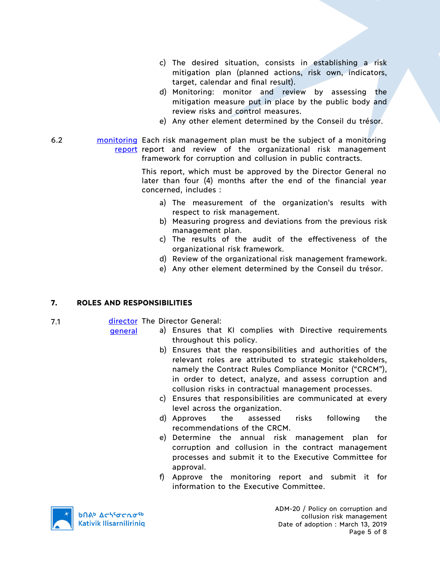- c) The desired situation, consists in establishing a risk mitigation plan (planned actions, risk own, indicators, target, calendar and final result).
- d) Monitoring: monitor and review by assessing the mitigation measure put in place by the public body and review risks and control measures.
- e) Any other element determined by the Conseil du trésor.
- 6.2 **monitoring** Each risk management plan must be the subject of a monitoring report report and review of the organizational risk management framework for corruption and collusion in public contracts.

This report, which must be approved by the Director General no later than four (4) months after the end of the financial year concerned, includes :

- a) The measurement of the organization's results with respect to risk management.
- b) Measuring progress and deviations from the previous risk management plan.
- c) The results of the audit of the effectiveness of the organizational risk framework.
- d) Review of the organizational risk management framework.
- e) Any other element determined by the Conseil du trésor.

# **7. ROLES AND RESPONSIBILITIES**

7.1 **director** The Director General:

general

- a) Ensures that KI complies with Directive requirements throughout this policy.
	- b) Ensures that the responsibilities and authorities of the relevant roles are attributed to strategic stakeholders, namely the Contract Rules Compliance Monitor ("CRCM"), in order to detect, analyze, and assess corruption and collusion risks in contractual management processes.
	- c) Ensures that responsibilities are communicated at every level across the organization.
	- d) Approves the assessed risks following the recommendations of the CRCM.
	- e) Determine the annual risk management plan for corruption and collusion in the contract management processes and submit it to the Executive Committee for approval.
- f) Approve the monitoring report and submit it for information to the Executive Committee.



ADM-20 / Policy on corruption and collusion risk management Date of adoption : March 13, 2019 Page 5 of 8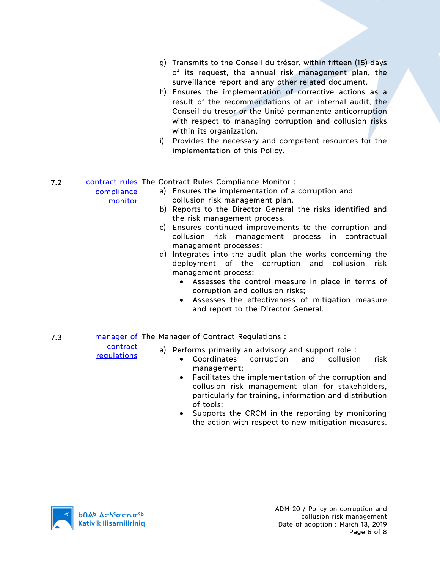- g) Transmits to the Conseil du trésor, within fifteen (15) days of its request, the annual risk management plan, the surveillance report and any other related document.
- h) Ensures the implementation of corrective actions as a result of the recommendations of an internal audit, the Conseil du trésor or the Unité permanente anticorruption with respect to managing corruption and collusion risks within its organization.
- i) Provides the necessary and competent resources for the implementation of this Policy.

# 7.2 Contract rules The Contract Rules Compliance Monitor :

- a) Ensures the implementation of a corruption and collusion risk management plan.
- b) Reports to the Director General the risks identified and the risk management process.
- c) Ensures continued improvements to the corruption and collusion risk management process in contractual management processes:
- d) Integrates into the audit plan the works concerning the deployment of the corruption and collusion risk management process:
	- Assesses the control measure in place in terms of corruption and collusion risks;
	- Assesses the effectiveness of mitigation measure and report to the Director General.
- 7.3 **manager of The Manager of Contract Regulations:**

contract

regulations

compliance monitor

- a) Performs primarily an advisory and support role :
	- Coordinates corruption and collusion risk management;
	- Facilitates the implementation of the corruption and collusion risk management plan for stakeholders, particularly for training, information and distribution of tools;
	- Supports the CRCM in the reporting by monitoring the action with respect to new mitigation measures.

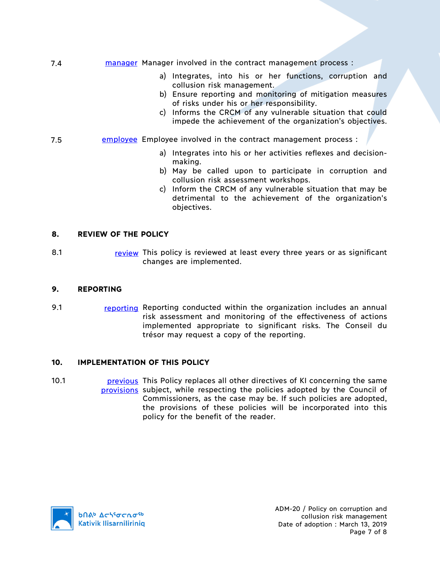- 7.4 **manager Manager involved in the contract management process:** 
	- a) Integrates, into his or her functions, corruption and collusion risk management.
	- b) Ensure reporting and monitoring of mitigation measures of risks under his or her responsibility.
	- c) Informs the CRCM of any vulnerable situation that could impede the achievement of the organization's objectives.
- 7.5 **EMPLOYEE EMPLOYEE involved in the contract management process:** 
	- a) Integrates into his or her activities reflexes and decisionmaking.
	- b) May be called upon to participate in corruption and collusion risk assessment workshops.
	- c) Inform the CRCM of any vulnerable situation that may be detrimental to the achievement of the organization's objectives.

## **8. REVIEW OF THE POLICY**

8.1 **review This policy is reviewed at least every three years or as significant** changes are implemented.

### **9. REPORTING**

9.1 reporting Reporting conducted within the organization includes an annual risk assessment and monitoring of the effectiveness of actions implemented appropriate to significant risks. The Conseil du trésor may request a copy of the reporting.

### **10. IMPLEMENTATION OF THIS POLICY**

10.1 **previous** This Policy replaces all other directives of KI concerning the same provisions subject, while respecting the policies adopted by the Council of Commissioners, as the case may be. If such policies are adopted, the provisions of these policies will be incorporated into this policy for the benefit of the reader.